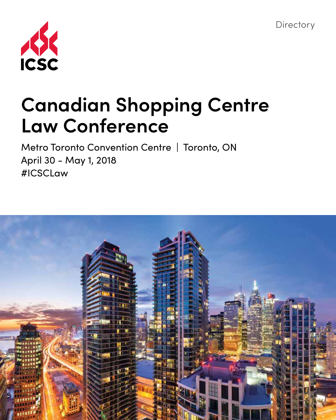**Directory** 



# **Canadian Shopping Centre Law Conference**

Metro Toronto Convention Centre | Toronto, ON April 30 - May 1, 2018 #ICSCLaw

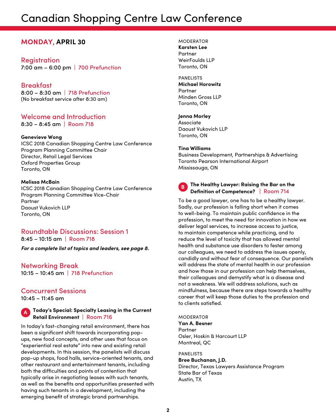## Canadian Shopping Centre Law Conference

## **MONDAY, APRIL 30**

#### **Registration** 7:00 am – 6:00 pm | 700 Prefunction

**Breakfast** 8:00 – 8:30 am | 718 Prefunction (No breakfast service after 8:30 am)

## Welcome and Introduction

8:30 – 8:45 am | Room 718

#### **Genevieve Wong**

ICSC 2018 Canadian Shopping Centre Law Conference Program Planning Committee Chair Director, Retail Legal Services Oxford Properties Group Toronto, ON

#### **Melissa McBain**

ICSC 2018 Canadian Shopping Centre Law Conference Program Planning Committee Vice-Chair Partner Daoust Vukovich LLP Toronto, ON

## Roundtable Discussions: Session 1

8:45 – 10:15 am | Room 718

*For a complete list of topics and leaders, see page 8.*

Networking Break 10:15 – 10:45 am | 718 Prefunction

## Concurrent Sessions

10:45 – 11:45 am

## **<sup>A</sup> Today's Special: Specialty Leasing in the Current Retail Environment** | Room 716

In today's fast-changing retail environment, there has been a significant shift towards incorporating popups, new food concepts, and other uses that focus on "experiential real estate" into new and existing retail developments. In this session, the panelists will discuss pop-up shops, food halls, service-oriented tenants, and other restaurant and entertainment tenants, including both the difficulties and points of contention that typically arise in negotiating leases with such tenants, as well as the benefits and opportunities presented with having such tenants in a development, including the emerging benefit of strategic brand partnerships.

MODERATOR **Karsten Lee** Partner WeirFoulds LLP Toronto, ON

#### PANELISTS **Michael Horowitz** Partner Minden Gross LLP Toronto, ON

#### **Jenna Morley**

Associate Daoust Vukovich LLP Toronto, ON

#### **Tina Williams**

Business Development, Partnerships & Advertising Toronto Pearson International Airport Mississauga, ON



#### **<sup>B</sup> The Healthy Lawyer: Raising the Bar on the Definition of Competence?** | Room 714

To be a good lawyer, one has to be a healthy lawyer. Sadly, our profession is falling short when it comes to well-being. To maintain public confidence in the profession, to meet the need for innovation in how we deliver legal services, to increase access to justice, to maintain competence while practicing, and to reduce the level of toxicity that has allowed mental health and substance use disorders to fester among our colleagues, we need to address the issues openly, candidly and without fear of consequence. Our panelists will address the state of mental health in our profession and how those in our profession can help themselves, their colleagues and demystify what is a disease and not a weakness. We will address solutions, such as mindfulness, because there are steps towards a healthy career that will keep those duties to the profession and to clients satisfied.

MODERATOR **Yan A. Besner** Partner Osler, Hoskin & Harcourt LLP Montreal, QC

PANELISTS **Bree Buchanan, J.D.** Director, Texas Lawyers Assistance Program State Bar of Texas Austin, TX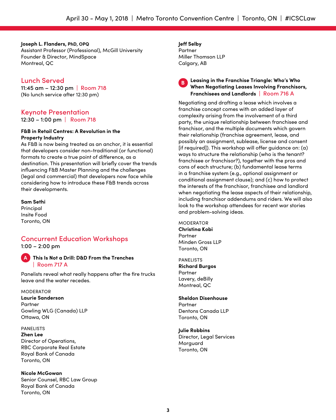**Joseph L. Flanders, PhD, OPQ** Assistant Professor (Professional), McGill University Founder & Director, MindSpace Montreal, QC

## Lunch Served

11:45 am – 12:30 pm | Room 718 (No lunch service after 12:30 pm)

## Keynote Presentation

12:30 – 1:00 pm | Room 718

#### **F&B in Retail Centres: A Revolution in the Property Industry**

As F&B is now being treated as an anchor, it is essential that developers consider non-traditional (or functional) formats to create a true point of difference, as a destination. This presentation will briefly cover the trends influencing F&B Master Planning and the challenges (legal and commercial) that developers now face while considering how to introduce these F&B trends across their developments.

#### **Sam Sethi**

Principal Insite Food Toronto, ON

#### Concurrent Education Workshops 1:00 – 2:00 pm

**A This Is Not a Drill: D&D From the Trenches** | Room 717 A

Panelists reveal what really happens after the fire trucks leave and the water recedes.

#### MODERATOR

**Laurie Sanderson** Partner Gowling WLG (Canada) LLP Ottawa, ON

#### PANELISTS

**Zhen Lee** Director of Operations, RBC Corporate Real Estate Royal Bank of Canada Toronto, ON

**Nicole McGowan** Senior Counsel, RBC Law Group Royal Bank of Canada Toronto, ON

**Jeff Selby** Partner Miller Thomson LLP Calgary, AB

#### **<sup>B</sup> Leasing in the Franchise Triangle: Who's Who When Negotiating Leases Involving Franchisors, Franchisees and Landlords** | Room 716 A

Negotiating and drafting a lease which involves a franchise concept comes with an added layer of complexity arising from the involvement of a third party, the unique relationship between franchisee and franchisor, and the multiple documents which govern their relationship (franchise agreement, lease, and possibly an assignment, sublease, license and consent [if required]). This workshop will offer guidance on: (a) ways to structure the relationship (who is the tenant? franchisee or franchisor?), together with the pros and cons of each structure; (b) fundamental lease terms in a franchise system (e.g., optional assignment or conditional assignment clause); and (c) how to protect the interests of the franchisor, franchisee and landlord when negotiating the lease aspects of their relationship, including franchisor addendums and riders. We will also look to the workshop attendees for recent war stories and problem-solving ideas.

MODERATOR **Christina Kobi** Partner Minden Gross LLP Toronto, ON

PANELISTS **Richard Burgos** Partner Lavery, deBilly Montreal, QC

#### **Sheldon Disenhouse** Partner Dentons Canada LLP Toronto, ON

**Julie Robbins** Director, Legal Services Morguard Toronto, ON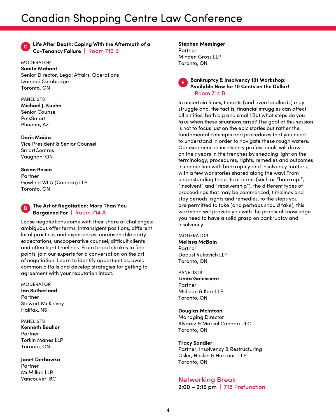#### **<sup>C</sup> Life After Death: Coping With the Aftermath of a Co-Tenancy Failure** | Room 716 B

MODERATOR **Sunita Mahant** Senior Director, Legal Affairs, Operations Ivanhoé Cambridge Toronto, ON

#### PANELISTS

**Michael J. Kuehn** Senior Counsel PetsSmart Phoenix, AZ

#### **Doris Maida**

Vice President & Senior Counsel **SmartCentres** Vaughan, ON

#### **Susan Rosen**

Partner Gowling WLG (Canada) LLP Toronto, ON

### **<sup>D</sup> The Art of Negotiation: More Than You Bargained For** | Room 714 A

Lease negotiations come with their share of challenges: ambiguous offer terms, intransigent positions, different local practices and experiences, unreasonable party expectations, uncooperative counsel, difficult clients and often tight timelines. From broad strokes to fine points, join our experts for a conversation on the art of negotiation. Learn to identify opportunities, avoid common pitfalls and develop strategies for getting to agreement with your reputation intact.

#### MODERATOR

**Ian Sutherland** Partner Stewart McKelvey Halifax, NS

#### PANELISTS

**Kenneth Beallor** Partner Torkin Manes LLP Toronto, ON

### **Janet Derbawka**

Partner McMillan LLP Vancouver, BC

#### **Stephen Messinger** Partner Minden Gross LLP Toronto, ON

#### **<sup>E</sup> Bankruptcy & Insolvency 101 Workshop: Available Now for 10 Cents on the Dollar!** | Room 714 B

In uncertain times, tenants (and even landlords) may struggle and, the fact is, financial struggles can affect all entities, both big and small! But what steps do you take when these situations arise? The goal of this session is not to focus just on the epic stories but rather the fundamental concepts and procedures that you need to understand in order to navigate these rough waters. Our experienced insolvency professionals will draw on their years in the trenches by shedding light on the terminology, procedures, rights, remedies and outcomes in connection with bankruptcy and insolvency matters, with a few war stories shared along the way! From understanding the critical terms (such as "bankrupt", "insolvent" and "receivership"), the different types of proceedings that may be commenced, timelines and stay periods, rights and remedies, to the steps you are permitted to take (and perhaps should take), this workshop will provide you with the practical knowledge you need to have a solid grasp on bankruptcy and insolvency.

#### MODERATOR **Melissa McBain** Partner Daoust Vukovich LLP Toronto, ON

PANELISTS **Linda Galessiere** Partner McLean & Kerr LLP Toronto, ON

#### **Douglas McIntosh**

Managing Director Alvarez & Marsal Canada ULC Toronto, ON

#### **Tracy Sandler**

Partner, Insolvency & Restructuring Osler, Hoskin & Harcourt LLP Toronto, ON

### Networking Break

2:00 – 2:15 pm | 718 Prefunction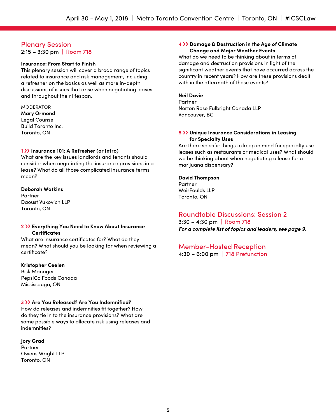## Plenary Session

2:15 – 3:30 pm | Room 718

#### **Insurance: From Start to Finish**

This plenary session will cover a broad range of topics related to insurance and risk management, including a refresher on the basics as well as more in-depth discussions of issues that arise when negotiating leases and throughout their lifespan.

#### MODERATOR

**Mary Ormond** Legal Counsel Build Toronto Inc. Toronto, ON

#### **1** ›› **Insurance 101: A Refresher (or Intro)**

What are the key issues landlords and tenants should consider when negotiating the insurance provisions in a lease? What do all those complicated insurance terms mean?

#### **Deborah Watkins**

**Dartnor** Daoust Vukovich LLP Toronto, ON

#### **2** ›› **Everything You Need to Know About Insurance Certificates**

What are insurance certificates for? What do they mean? What should you be looking for when reviewing a certificate?

#### **Kristopher Ceelen**

Risk Manager PepsiCo Foods Canada Mississauga, ON

#### **3** ›› **Are You Released? Are You Indemnified?**

How do releases and indemnities fit together? How do they tie in to the insurance provisions? What are some possible ways to allocate risk using releases and indemnities?

#### **Jory Grad**

Partner Owens Wright LLP Toronto, ON

#### **4** ›› **Damage & Destruction in the Age of Climate Change and Major Weather Events**

What do we need to be thinking about in terms of damage and destruction provisions in light of the significant weather events that have occurred across the country in recent years? How are these provisions dealt with in the aftermath of these events?

#### **Neil Davie**

Partner Norton Rose Fulbright Canada LLP Vancouver, BC

#### **5** ›› **Unique Insurance Considerations in Leasing for Specialty Uses**

Are there specific things to keep in mind for specialty use leases such as restaurants or medical uses? What should we be thinking about when negotiating a lease for a marijuana dispensary?

#### **David Thompson**

Partner WeirFoulds LLP Toronto, ON

### Roundtable Discussions: Session 2

3:30 – 4:30 pm | Room 718 *For a complete list of topics and leaders, see page 9.*

#### Member-Hosted Reception

4:30 – 6:00 pm | 718 Prefunction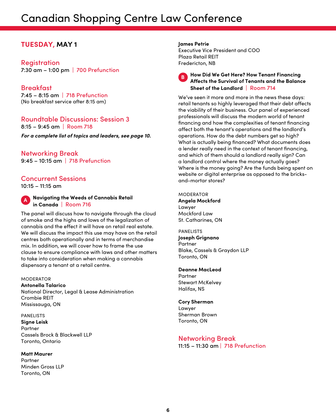## Canadian Shopping Centre Law Conference

## **TUESDAY, MAY 1**

Registration 7:30 am – 1:00 pm | 700 Prefunction

## Breakfast

7:45 – 8:15 am | 718 Prefunction (No breakfast service after 8:15 am)

#### Roundtable Discussions: Session 3  $8:15 - 9:45$  am  $\vert$  Room 718

*For a complete list of topics and leaders, see page 10.*

Networking Break 9:45 – 10:15 am | 718 Prefunction

## Concurrent Sessions

10:15 – 11:15 am

#### **<sup>A</sup> Navigating the Weeds of Cannabis Retail in Canada** | Room 716

The panel will discuss how to navigate through the cloud of smoke and the highs and lows of the legalization of cannabis and the effect it will have on retail real estate. We will discuss the impact this use may have on the retail centres both operationally and in terms of merchandise mix. In addition, we will cover how to frame the use clause to ensure compliance with laws and other matters to take into consideration when making a cannabis dispensary a tenant at a retail centre.

#### **MODERATOR**

**Antonella Talarico** National Director, Legal & Lease Administration Crombie REIT Mississauga, ON

#### PANELISTS

**Signe Leisk** Partner Cassels Brock & Blackwell LLP Toronto, Ontario

#### **Matt Maurer**

Partner Minden Gross LLP Toronto, ON

#### **James Petrie**

Executive Vice President and COO Plaza Retail REIT Fredericton, NB



#### **<sup>B</sup> How Did We Get Here? How Tenant Financing Affects the Survival of Tenants and the Balance Sheet of the Landlord** | Room 714

We've seen it more and more in the news these days: retail tenants so highly leveraged that their debt affects the viability of their business. Our panel of experienced professionals will discuss the modern world of tenant financing and how the complexities of tenant financing affect both the tenant's operations and the landlord's operations. How do the debt numbers get so high? What is actually being financed? What documents does a lender really need in the context of tenant financing, and which of them should a landlord really sign? Can a landlord control where the money actually goes? Where is the money going? Are the funds being spent on website or digital enterprise as opposed to the bricksand-mortar stores?

MODERATOR **Angela Mockford** Lawyer Mockford Law St. Catharines, ON

PANELISTS **Joseph Grignano** Partner Blake, Cassels & Graydon LLP Toronto, ON

**Deanne MacLeod** Partner Stewart McKelvey Halifax, NS

#### **Cory Sherman** Lawyer

Sherman Brown Toronto, ON

## Networking Break

11:15 – 11:30 am | 718 Prefunction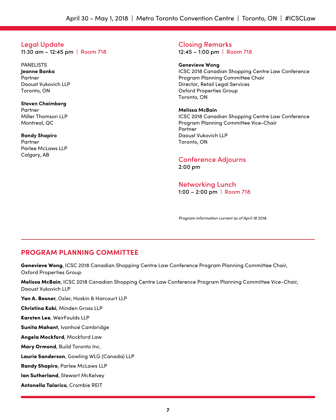## Legal Update

11:30 am – 12:45 pm | Room 718

PANELISTS **Jeanne Banka Partner** Daoust Vukovich LLP Toronto, ON

**Steven Chaimberg** Partner Miller Thomson LLP Montreal, QC

**Randy Shapiro** Partner Parlee McLaws LLP Calgary, AB

Closing Remarks 12:45 – 1:00 pm | Room 718

**Genevieve Wong** ICSC 2018 Canadian Shopping Centre Law Conference Program Planning Committee Chair Director, Retail Legal Services Oxford Properties Group Toronto, ON

**Melissa McBain** ICSC 2018 Canadian Shopping Centre Law Conference Program Planning Committee Vice-Chair Partner Daoust Vukovich LLP Toronto, ON

Conference Adjourns 2:00 pm

Networking Lunch 1:00 – 2:00 pm | Room 718

*Program information current as of April 18 2018.*

## **PROGRAM PLANNING COMMITTEE**

Genevieve Wong, ICSC 2018 Canadian Shopping Centre Law Conference Program Planning Committee Chair, Oxford Properties Group

Melissa McBain, ICSC 2018 Canadian Shopping Centre Law Conference Program Planning Committee Vice-Chair, Daoust Vukovich LLP

Yan A. Besner, Osler, Hoskin & Harcourt LLP

Christina Kobi, Minden Gross LLP

Karsten Lee, WeirFoulds LLP

Sunita Mahant, Ivanhoé Cambridge

Angela Mockford, Mockford Law

Mary Ormond, Build Toronto Inc.

Laurie Sanderson, Gowling WLG (Canada) LLP

Randy Shapiro, Parlee McLaws LLP

Ian Sutherland, Stewart McKelvey

Antonella Talarico, Crombie REIT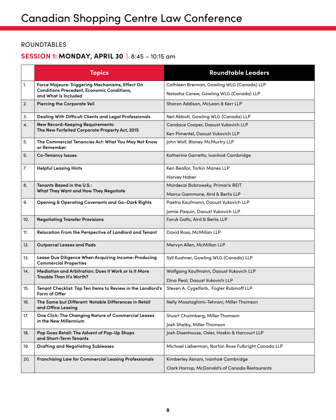## ROUNDTABLES

## **SESSION 1: MONDAY, APRIL 30 |** 8:45 – 10:15 am

|     | <b>Topics</b>                                                                       | <b>Roundtable Leaders</b>                           |
|-----|-------------------------------------------------------------------------------------|-----------------------------------------------------|
| 1.  | Force Majeure: Triggering Mechanisms, Effect On                                     | Cathleen Brennan, Gowling WLG (Canada) LLP          |
|     | <b>Conditions Precedent, Economic Conditions,</b><br>and What Is Included           | Natasha Carew, Gowling WLG (Canada) LLP             |
| 2.  | <b>Piercing the Corporate Veil</b>                                                  | Sharon Addison, McLean & Kerr LLP                   |
| 3.  | Dealing With Difficult Clients and Legal Professionals                              | Neil Abbott, Gowling WLG (Canada) LLP               |
| 4.  | <b>New Record-Keeping Requirements:</b>                                             | Candace Cooper, Daoust Vukovich LLP                 |
|     | The New Forfeited Corporate Property Act, 2015                                      | Ken Pimentel, Daoust Vukovich LLP                   |
| 5.  | The Commercial Tenancies Act: What You May Not Know<br>or Remember                  | John Wolf, Blaney McMurtry LLP                      |
| 6.  | <b>Co-Tenancy Issues</b>                                                            | Katherine Garretto, Ivanhoé Cambridge               |
| 7.  | <b>Helpful Leasing Hints</b>                                                        | Ken Beallor, Torkin Manes LLP                       |
|     |                                                                                     | <b>Harvey Haber</b>                                 |
| 8.  | Tenants Based in the U.S.:                                                          | Mordecai Bobrowsky, Primaris REIT                   |
|     | What They Want and How They Negotiate                                               | Marco Gammone, Aird & Berlis LLP                    |
| 9.  | <b>Opening &amp; Operating Covenants and Go-Dark Rights</b>                         | Paetra Kaufmann, Daoust Vukovich LLP                |
|     |                                                                                     | Jamie Paquin, Daoust Vukovich LLP                   |
| 10. | <b>Negotiating Transfer Provisions</b>                                              | Faruk Gafic, Aird & Berlis LLP                      |
| 11. | Relocation From the Perspective of Landlord and Tenant                              | David Ross, McMillan LLP                            |
| 12. | <b>Outparcel Leases and Pads</b>                                                    | Mervyn Allen, McMillan LLP                          |
| 13. | Lease Due Diligence When Acquiring Income-Producing<br><b>Commercial Properties</b> | Syll Kushner, Gowling WLG (Canada) LLP              |
| 14. | Mediation and Arbitration: Does It Work or Is It More                               | Wolfgang Kaufmann, Daoust Vukovich LLP              |
|     | Trouble Than It's Worth?                                                            | Dina Peat, Daoust Vukovich LLP                      |
| 15. | Tenant Checklist: Top Ten Items to Review in the Landlord's<br>Form of Offer        | Steven A. Cygelfarb, Fogler Rubinoff LLP            |
| 16. | The Same but Different: Notable Differences in Retail<br>and Office Leasing         | Nelly Mosstaghimi-Tehrani, Miller Thomson           |
| 17. | One Click: The Changing Nature of Commercial Leases                                 | Stuart Chaimberg, Miller Thomson                    |
|     | in the New Millennium                                                               | Josh Shelby, Miller Thomson                         |
| 18. | Pop Goes Retail: The Advent of Pop-Up Shops<br>and Short-Term Tenants               | Josh Disenhouse, Osler, Hoskin & Harcourt LLP       |
| 19. | <b>Drafting and Negotiating Subleases</b>                                           | Michael Lieberman, Norton Rose Fulbright Canada LLP |
| 20. | Franchising Law for Commercial Leasing Professionals                                | Kimberley Asnani, Ivanhoé Cambridge                 |
|     |                                                                                     | Clark Harrop, McDonald's of Canada Restaurants      |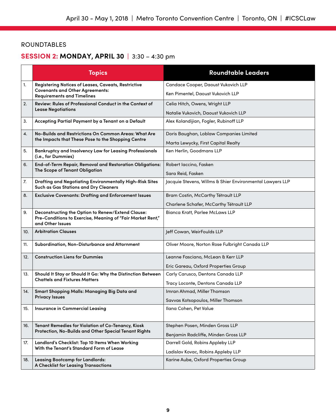## ROUNDTABLES

## **SESSION 2: MONDAY, APRIL 30 |** 3:30 – 4:30 pm

|     | <b>Topics</b>                                                                                                                       | <b>Roundtable Leaders</b>                                                      |
|-----|-------------------------------------------------------------------------------------------------------------------------------------|--------------------------------------------------------------------------------|
| 1.  | Registering Notices of Leases, Caveats, Restrictive<br><b>Covenants and Other Agreements:</b><br><b>Requirements and Timelines</b>  | Candace Cooper, Daoust Vukovich LLP<br>Ken Pimentel, Daoust Vukovich LLP       |
| 2.  | Review: Rules of Professional Conduct in the Context of<br><b>Lease Negotiations</b>                                                | Celia Hitch, Owens, Wright LLP<br>Natalie Vukovich, Daoust Vukovich LLP        |
| 3.  | Accepting Partial Payment by a Tenant on a Default                                                                                  | Alex Kolandijian, Fogler, Rubinoff LLP                                         |
| 4.  | No-Builds and Restrictions On Common Areas: What Are<br>the Impacts that These Pose to the Shopping Centre                          | Doris Baughan, Loblaw Companies Limited<br>Marta Lewycky, First Capital Realty |
| 5.  | Bankruptcy and Insolvency Law for Leasing Professionals<br>(i.e., for Dummies)                                                      | Ken Herlin, Goodmans LLP                                                       |
| 6.  | End-of-Term Repair, Removal and Restoration Obligations:<br>The Scope of Tenant Obligation                                          | Robert Iaccino, Fasken<br>Sara Reid, Fasken                                    |
| 7.  | Drafting and Negotiating Environmentally High-Risk Sites<br>Such as Gas Stations and Dry Cleaners                                   | Jacquie Stevens, Willms & Shier Environmental Lawyers LLP                      |
| 8.  | <b>Exclusive Covenants: Drafting and Enforcement Issues</b>                                                                         | Bram Costin, McCarthy Tétrault LLP<br>Charlene Schafer, McCarthy Tétrault LLP  |
| 9.  | Deconstructing the Option to Renew/Extend Clause:<br>Pre-Conditions to Exercise, Meaning of "Fair Market Rent,"<br>and Other Issues | <b>Bianca Kratt, Parlee McLaws LLP</b>                                         |
| 10. | <b>Arbitration Clauses</b>                                                                                                          | Jeff Cowan, WeirFoulds LLP                                                     |
| 11. | Subordination, Non-Disturbance and Attornment                                                                                       | Oliver Moore, Norton Rose Fulbright Canada LLP                                 |
| 12. | <b>Construction Liens for Dummies</b>                                                                                               | Leanne Fasciano, McLean & Kerr LLP<br>Eric Gareau, Oxford Properties Group     |
| 13. | Should It Stay or Should It Go: Why the Distinction Between<br><b>Chattels and Fixtures Matters</b>                                 | Carly Carusco, Dentons Canada LLP<br>Tracy Loconte, Dentons Canada LLP         |
| 14. | Smart Shopping Malls: Managing Big Data and<br><b>Privacy Issues</b>                                                                | Imran Ahmad, Miller Thomson<br>Savvas Kotsopoulos, Miller Thomson              |
| 15. | <b>Insurance in Commercial Leasing</b>                                                                                              | Ilana Cohen, Pet Value                                                         |
| 16. | Tenant Remedies for Violation of Co-Tenancy, Kiosk<br>Protection, No-Builds and Other Special Tenant Rights                         | Stephen Posen, Minden Gross LLP<br>Benjamin Radcliffe, Minden Gross LLP        |
| 17. | Landlord's Checklist: Top 10 Items When Working<br>With the Tenant's Standard Form of Lease                                         | Darrell Gold, Robins Appleby LLP<br>Ladislav Kovac, Robins Appleby LLP         |
| 18. | <b>Leasing Bootcamp for Landlords:</b><br><b>A Checklist for Leasing Transactions</b>                                               | Karine Aube, Oxford Properties Group                                           |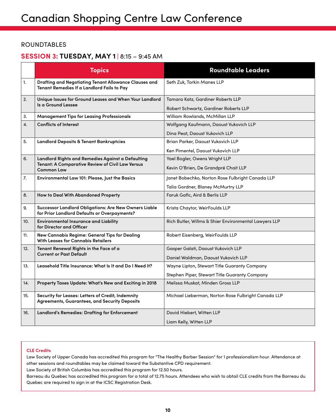## ROUNDTABLES

## **SESSION 3: TUESDAY, MAY 1 |** 8:15 – 9:45 AM

|     | <b>Topics</b>                                                                                                | <b>Roundtable Leaders</b>                             |
|-----|--------------------------------------------------------------------------------------------------------------|-------------------------------------------------------|
| 1.  | Drafting and Negotiating Tenant Allowance Clauses and<br>Tenant Remedies If a Landlord Fails to Pay          | Seth Zuk, Torkin Manes LLP                            |
| 2.  | Unique Issues for Ground Leases and When Your Landlord<br>Is a Ground Lessee                                 | Tamara Katz, Gardiner Roberts LLP                     |
|     |                                                                                                              | Robert Schwartz, Gardiner Roberts LLP                 |
| 3.  | <b>Management Tips for Leasing Professionals</b>                                                             | William Rowlands, McMillan LLP                        |
| 4.  | <b>Conflicts of Interest</b>                                                                                 | Wolfgang Kaufmann, Daoust Vukovich LLP                |
|     |                                                                                                              | Dina Peat, Daoust Vukovich LLP                        |
| 5.  | Landlord Deposits & Tenant Bankruptcies                                                                      | Brian Parker, Daoust Vukovich LLP                     |
|     |                                                                                                              | Ken Pimentel, Daoust Vukovich LLP                     |
| 6.  | Landlord Rights and Remedies Against a Defaulting                                                            | Yael Bogler, Owens Wright LLP                         |
|     | <b>Tenant: A Comparative Review of Civil Law Versus</b><br><b>Common Law</b>                                 | Kevin O'Brien, De Grandpré Chait LLP                  |
| 7.  | Environmental Law 101: Please, Just the Basics                                                               | Janet Bobechko, Norton Rose Fulbright Canada LLP      |
|     |                                                                                                              | Talia Gordner, Blaney McMurtry LLP                    |
| 8.  | How to Deal With Abandoned Property                                                                          | Faruk Gafic, Aird & Berlis LLP                        |
| 9.  | <b>Successor Landlord Obligations: Are New Owners Liable</b><br>for Prior Landlord Defaults or Overpayments? | Krista Chaytor, WeirFoulds LLP                        |
| 10. | <b>Environmental Insurance and Liability</b><br>for Director and Officer                                     | Rich Butler, Willms & Shier Environmental Lawyers LLP |
| 11. | New Cannabis Regime: General Tips for Dealing<br><b>With Leases for Cannabis Retailers</b>                   | Robert Eisenberg, WeirFoulds LLP                      |
| 12. | Tenant Renewal Rights in the Face of a                                                                       | Gasper Galati, Daoust Vukovich LLP                    |
|     | <b>Current or Past Default</b>                                                                               | Daniel Waldman, Daoust Vukovich LLP                   |
| 13. | Leasehold Title Insurance: What Is It and Do I Need It?                                                      | Wayne Lipton, Stewart Title Guaranty Company          |
|     |                                                                                                              | Stephen Piper, Stewart Title Guaranty Company         |
| 14. | Property Taxes Update: What's New and Exciting in 2018                                                       | Melissa Muskat, Minden Gross LLP                      |
| 15. | Security for Leases: Letters of Credit, Indemnity<br>Agreements, Guarantees, and Security Deposits           | Michael Lieberman, Norton Rose Fulbright Canada LLP   |
| 16. | Landlord's Remedies: Drafting for Enforcement                                                                | David Hiebert, Witten LLP                             |
|     |                                                                                                              | Liam Kelly, Witten LLP                                |

#### **CLE Credits**

Law Society of Upper Canada has accredited this program for "The Healthy Barber Session" for 1 professionalism hour. Attendance at other sessions and roundtables may be claimed toward the Substantive CPD requirement.

Law Society of British Columbia has accredited this program for 12.50 hours.

Barreau du Quebec has accredited this program for a total of 12.75 hours. Attendees who wish to obtail CLE credits from the Barreau du Quebec are required to sign in at the ICSC Registration Desk.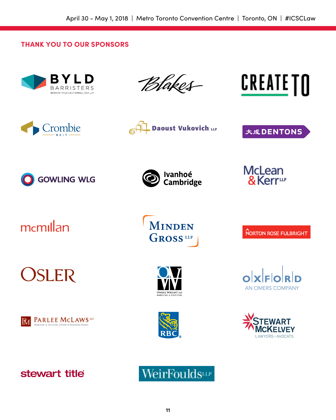## **THANK YOU TO OUR SPONSORS**











大成DENTONS







memillan

**OSLER** 







NORTON ROSE FULBRIGHT





**AN OMERS COMPANY**